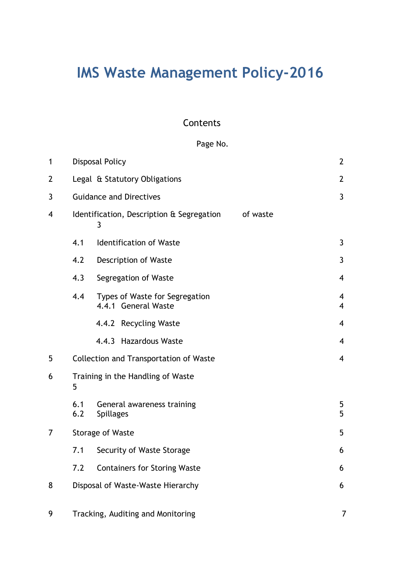# **IMS Waste Management Policy-2016**

# **Contents**

# Page No.

| $\mathbf{1}$   | <b>Disposal Policy</b>                                     |                                                       |  | $\overline{2}$                   |
|----------------|------------------------------------------------------------|-------------------------------------------------------|--|----------------------------------|
| $\overline{2}$ |                                                            | Legal & Statutory Obligations                         |  | $\overline{2}$                   |
| 3              | <b>Guidance and Directives</b>                             |                                                       |  | $\mathbf{3}$                     |
| $\overline{4}$ | Identification, Description & Segregation<br>of waste<br>3 |                                                       |  |                                  |
|                | 4.1                                                        | <b>Identification of Waste</b>                        |  | $\mathbf{3}$                     |
|                | 4.2                                                        | Description of Waste                                  |  | 3                                |
|                | 4.3                                                        | Segregation of Waste                                  |  | $\overline{4}$                   |
|                | 4.4                                                        | Types of Waste for Segregation<br>4.4.1 General Waste |  | $\overline{4}$<br>$\overline{4}$ |
|                |                                                            | 4.4.2 Recycling Waste                                 |  | $\overline{4}$                   |
|                |                                                            | 4.4.3 Hazardous Waste                                 |  | $\overline{\mathcal{A}}$         |
| 5              | <b>Collection and Transportation of Waste</b>              |                                                       |  | $\overline{4}$                   |
| 6              | Training in the Handling of Waste<br>5                     |                                                       |  |                                  |
|                | 6.1<br>6.2                                                 | General awareness training<br><b>Spillages</b>        |  | 5<br>5                           |
| 7              | <b>Storage of Waste</b>                                    |                                                       |  | 5                                |
|                | 7.1                                                        | Security of Waste Storage                             |  | 6                                |
|                | 7.2                                                        | <b>Containers for Storing Waste</b>                   |  | 6                                |
| 8              | Disposal of Waste-Waste Hierarchy                          |                                                       |  | 6                                |
|                |                                                            |                                                       |  |                                  |

9 Tracking, Auditing and Monitoring 7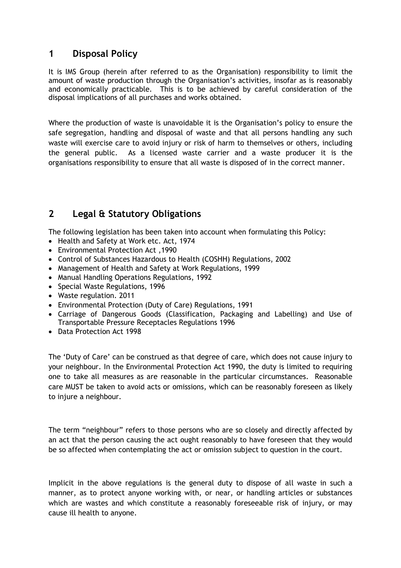# **1 Disposal Policy**

It is IMS Group (herein after referred to as the Organisation) responsibility to limit the amount of waste production through the Organisation's activities, insofar as is reasonably and economically practicable. This is to be achieved by careful consideration of the disposal implications of all purchases and works obtained.

Where the production of waste is unavoidable it is the Organisation's policy to ensure the safe segregation, handling and disposal of waste and that all persons handling any such waste will exercise care to avoid injury or risk of harm to themselves or others, including the general public. As a licensed waste carrier and a waste producer it is the organisations responsibility to ensure that all waste is disposed of in the correct manner.

# **2 Legal & Statutory Obligations**

The following legislation has been taken into account when formulating this Policy:

- Health and Safety at Work etc. Act, 1974
- Environmental Protection Act ,1990
- Control of Substances Hazardous to Health (COSHH) Regulations, 2002
- Management of Health and Safety at Work Regulations, 1999
- Manual Handling Operations Regulations, 1992
- Special Waste Regulations, 1996
- Waste regulation. 2011
- Environmental Protection (Duty of Care) Regulations, 1991
- Carriage of Dangerous Goods (Classification, Packaging and Labelling) and Use of Transportable Pressure Receptacles Regulations 1996
- Data Protection Act 1998

The 'Duty of Care' can be construed as that degree of care, which does not cause injury to your neighbour. In the Environmental Protection Act 1990, the duty is limited to requiring one to take all measures as are reasonable in the particular circumstances. Reasonable care MUST be taken to avoid acts or omissions, which can be reasonably foreseen as likely to injure a neighbour.

The term "neighbour" refers to those persons who are so closely and directly affected by an act that the person causing the act ought reasonably to have foreseen that they would be so affected when contemplating the act or omission subject to question in the court.

Implicit in the above regulations is the general duty to dispose of all waste in such a manner, as to protect anyone working with, or near, or handling articles or substances which are wastes and which constitute a reasonably foreseeable risk of injury, or may cause ill health to anyone.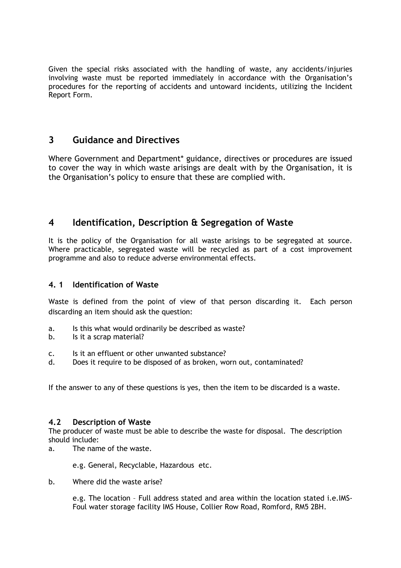Given the special risks associated with the handling of waste, any accidents/injuries involving waste must be reported immediately in accordance with the Organisation's procedures for the reporting of accidents and untoward incidents, utilizing the Incident Report Form.

# **3 Guidance and Directives**

Where Government and Department\* guidance, directives or procedures are issued to cover the way in which waste arisings are dealt with by the Organisation, it is the Organisation's policy to ensure that these are complied with.

# **4 Identification, Description & Segregation of Waste**

It is the policy of the Organisation for all waste arisings to be segregated at source. Where practicable, segregated waste will be recycled as part of a cost improvement programme and also to reduce adverse environmental effects.

## **4. 1 Identification of Waste**

Waste is defined from the point of view of that person discarding it. Each person discarding an item should ask the question:

- a. Is this what would ordinarily be described as waste?
- b. Is it a scrap material?
- c. Is it an effluent or other unwanted substance?
- d. Does it require to be disposed of as broken, worn out, contaminated?

If the answer to any of these questions is yes, then the item to be discarded is a waste.

## **4.2 Description of Waste**

The producer of waste must be able to describe the waste for disposal. The description should include:

a. The name of the waste.

e.g. General, Recyclable, Hazardous etc.

b. Where did the waste arise?

e.g. The location – Full address stated and area within the location stated i.e.IMS-Foul water storage facility IMS House, Collier Row Road, Romford, RM5 2BH.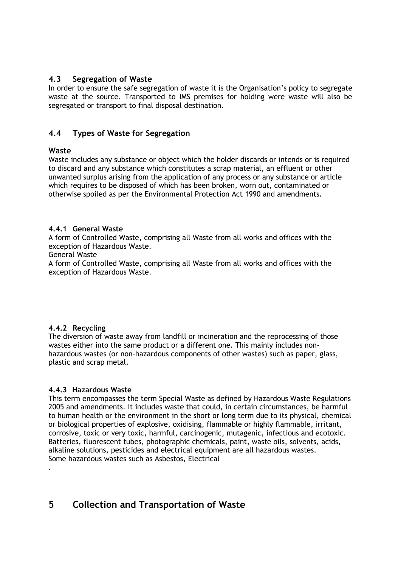### **4.3 Segregation of Waste**

In order to ensure the safe segregation of waste it is the Organisation's policy to segregate waste at the source. Transported to IMS premises for holding were waste will also be segregated or transport to final disposal destination.

## **4.4 Types of Waste for Segregation**

#### **Waste**

Waste includes any substance or object which the holder discards or intends or is required to discard and any substance which constitutes a scrap material, an effluent or other unwanted surplus arising from the application of any process or any substance or article which requires to be disposed of which has been broken, worn out, contaminated or otherwise spoiled as per the Environmental Protection Act 1990 and amendments.

#### **4.4.1 General Waste**

A form of Controlled Waste, comprising all Waste from all works and offices with the exception of Hazardous Waste.

#### General Waste

A form of Controlled Waste, comprising all Waste from all works and offices with the exception of Hazardous Waste.

#### **4.4.2 Recycling**

.

The diversion of waste away from landfill or incineration and the reprocessing of those wastes either into the same product or a different one. This mainly includes nonhazardous wastes (or non-hazardous components of other wastes) such as paper, glass, plastic and scrap metal.

#### **4.4.3 Hazardous Waste**

This term encompasses the term Special Waste as defined by Hazardous Waste Regulations 2005 and amendments. It includes waste that could, in certain circumstances, be harmful to human health or the environment in the short or long term due to its physical, chemical or biological properties of explosive, oxidising, flammable or highly flammable, irritant, corrosive, toxic or very toxic, harmful, carcinogenic, mutagenic, infectious and ecotoxic. Batteries, fluorescent tubes, photographic chemicals, paint, waste oils, solvents, acids, alkaline solutions, pesticides and electrical equipment are all hazardous wastes. Some hazardous wastes such as Asbestos, Electrical

# **5 Collection and Transportation of Waste**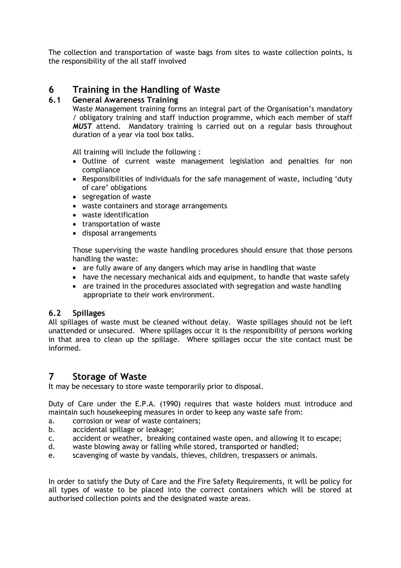The collection and transportation of waste bags from sites to waste collection points, is the responsibility of the all staff involved

# **6 Training in the Handling of Waste**

## **6.1 General Awareness Training**

Waste Management training forms an integral part of the Organisation's mandatory / obligatory training and staff induction programme, which each member of staff *MUST* attend. Mandatory training is carried out on a regular basis throughout duration of a year via tool box talks.

All training will include the following :

- Outline of current waste management legislation and penalties for non compliance
- Responsibilities of individuals for the safe management of waste, including 'duty of care' obligations
- segregation of waste
- waste containers and storage arrangements
- waste identification
- transportation of waste
- disposal arrangements

Those supervising the waste handling procedures should ensure that those persons handling the waste:

- are fully aware of any dangers which may arise in handling that waste
- have the necessary mechanical aids and equipment, to handle that waste safely
- are trained in the procedures associated with segregation and waste handling appropriate to their work environment.

## **6.2 Spillages**

All spillages of waste must be cleaned without delay. Waste spillages should not be left unattended or unsecured. Where spillages occur it is the responsibility of persons working in that area to clean up the spillage. Where spillages occur the site contact must be informed.

## **7 Storage of Waste**

It may be necessary to store waste temporarily prior to disposal.

Duty of Care under the E.P.A. (1990) requires that waste holders must introduce and maintain such housekeeping measures in order to keep any waste safe from:

- a. corrosion or wear of waste containers;
- b. accidental spillage or leakage;
- c. accident or weather, breaking contained waste open, and allowing it to escape;
- d. waste blowing away or falling while stored, transported or handled;
- e. scavenging of waste by vandals, thieves, children, trespassers or animals.

In order to satisfy the Duty of Care and the Fire Safety Requirements, it will be policy for all types of waste to be placed into the correct containers which will be stored at authorised collection points and the designated waste areas.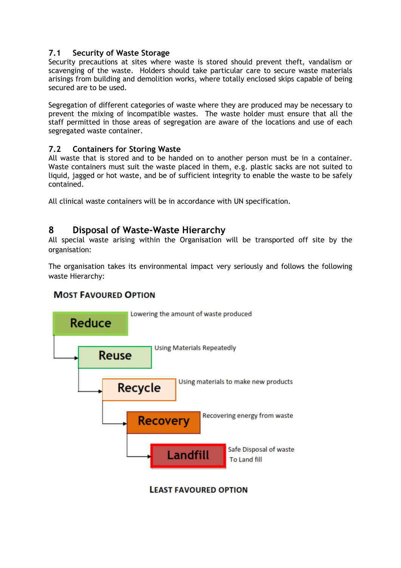## **7.1 Security of Waste Storage**

Security precautions at sites where waste is stored should prevent theft, vandalism or scavenging of the waste. Holders should take particular care to secure waste materials arisings from building and demolition works, where totally enclosed skips capable of being secured are to be used.

Segregation of different categories of waste where they are produced may be necessary to prevent the mixing of incompatible wastes. The waste holder must ensure that all the staff permitted in those areas of segregation are aware of the locations and use of each segregated waste container.

## **7.2 Containers for Storing Waste**

All waste that is stored and to be handed on to another person must be in a container. Waste containers must suit the waste placed in them, e.g. plastic sacks are not suited to liquid, jagged or hot waste, and be of sufficient integrity to enable the waste to be safely contained.

All clinical waste containers will be in accordance with UN specification.

# **8 Disposal of Waste-Waste Hierarchy**

All special waste arising within the Organisation will be transported off site by the organisation:

The organisation takes its environmental impact very seriously and follows the following waste Hierarchy:

## **MOST FAVOURED OPTION**



**LEAST FAVOURED OPTION**